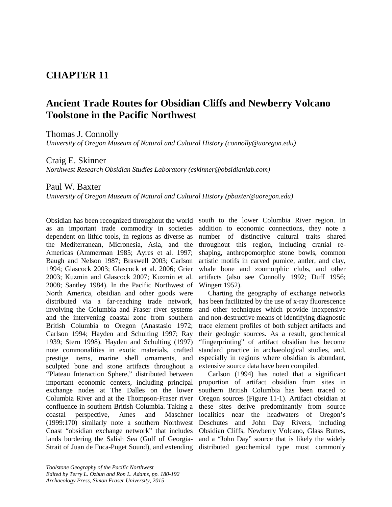## **CHAPTER 11**

# **Ancient Trade Routes for Obsidian Cliffs and Newberry Volcano Toolstone in the Pacific Northwest**

Thomas J. Connolly

*University of Oregon Museum of Natural and Cultural History (connolly@uoregon.edu)*

## Craig E. Skinner

*Northwest Research Obsidian Studies Laboratory (cskinner@obsidianlab.com)*

## Paul W. Baxter

*University of Oregon Museum of Natural and Cultural History (pbaxter@uoregon.edu)*

Obsidian has been recognized throughout the world as an important trade commodity in societies dependent on lithic tools, in regions as diverse as the Mediterranean, Micronesia, Asia, and the Americas (Ammerman 1985; Ayres et al. 1997; Baugh and Nelson 1987; Braswell 2003; Carlson 1994; Glascock 2003; Glascock et al. 2006; Grier 2003; Kuzmin and Glascock 2007; Kuzmin et al. 2008; Santley 1984). In the Pacific Northwest of North America, obsidian and other goods were distributed via a far-reaching trade network, involving the Columbia and Fraser river systems and the intervening coastal zone from southern British Columbia to Oregon (Anastasio 1972; Carlson 1994; Hayden and Schulting 1997; Ray 1939; Stern 1998). Hayden and Schulting (1997) note commonalities in exotic materials, crafted prestige items, marine shell ornaments, and sculpted bone and stone artifacts throughout a "Plateau Interaction Sphere," distributed between important economic centers, including principal exchange nodes at The Dalles on the lower Columbia River and at the Thompson-Fraser river confluence in southern British Columbia. Taking a coastal perspective, Ames and Maschner (1999:170) similarly note a southern Northwest Deschutes and John Day Rivers, including Coast "obsidian exchange network" that includes lands bordering the Salish Sea (Gulf of Georgia-and a "John Day" source that is likely the widely

south to the lower Columbia River region. In addition to economic connections, they note a number of distinctive cultural traits shared throughout this region, including cranial reshaping, anthropomorphic stone bowls, common artistic motifs in carved pumice, antler, and clay, whale bone and zoomorphic clubs, and other artifacts (also see Connolly 1992; Duff 1956; Wingert 1952).

Charting the geography of exchange networks has been facilitated by the use of x-ray fluorescence and other techniques which provide inexpensive and non-destructive means of identifying diagnostic trace element profiles of both subject artifacts and their geologic sources. As a result, geochemical "fingerprinting" of artifact obsidian has become standard practice in archaeological studies, and, especially in regions where obsidian is abundant, extensive source data have been compiled.

Strait of Juan de Fuca-Puget Sound), and extending distributed geochemical type most commonly Carlson (1994) has noted that a significant proportion of artifact obsidian from sites in southern British Columbia has been traced to Oregon sources (Figure 11-1). Artifact obsidian at these sites derive predominantly from source localities near the headwaters of Oregon's Obsidian Cliffs, Newberry Volcano, Glass Buttes,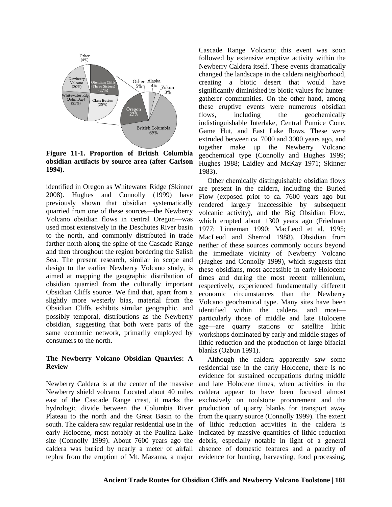

**Figure 11-1. Proportion of British Columbia obsidian artifacts by source area (after Carlson 1994).**

identified in Oregon as Whitewater Ridge (Skinner 2008). Hughes and Connolly (1999) have previously shown that obsidian systematically quarried from one of these sources—the Newberry Volcano obsidian flows in central Oregon—was used most extensively in the Deschutes River basin to the north, and commonly distributed in trade farther north along the spine of the Cascade Range and then throughout the region bordering the Salish Sea. The present research, similar in scope and design to the earlier Newberry Volcano study, is aimed at mapping the geographic distribution of obsidian quarried from the culturally important Obsidian Cliffs source. We find that, apart from a slightly more westerly bias, material from the Obsidian Cliffs exhibits similar geographic, and possibly temporal, distributions as the Newberry obsidian, suggesting that both were parts of the same economic network, primarily employed by consumers to the north.

#### **The Newberry Volcano Obsidian Quarries: A Review**

Newberry Caldera is at the center of the massive Newberry shield volcano. Located about 40 miles east of the Cascade Range crest, it marks the hydrologic divide between the Columbia River Plateau to the north and the Great Basin to the south. The caldera saw regular residential use in the early Holocene, most notably at the Paulina Lake site (Connolly 1999). About 7600 years ago the caldera was buried by nearly a meter of airfall tephra from the eruption of Mt. Mazama, a major evidence for hunting, harvesting, food processing,

Cascade Range Volcano; this event was soon followed by extensive eruptive activity within the Newberry Caldera itself. These events dramatically changed the landscape in the caldera neighborhood, creating a biotic desert that would have significantly diminished its biotic values for huntergatherer communities. On the other hand, among these eruptive events were numerous obsidian flows, including the geochemically indistinguishable Interlake, Central Pumice Cone, Game Hut, and East Lake flows. These were extruded between ca. 7000 and 3000 years ago, and together make up the Newberry Volcano geochemical type (Connolly and Hughes 1999; Hughes 1988; Laidley and McKay 1971; Skinner 1983).

Other chemically distinguishable obsidian flows are present in the caldera, including the Buried Flow (exposed prior to ca. 7600 years ago but rendered largely inaccessible by subsequent volcanic activity), and the Big Obsidian Flow, which erupted about 1300 years ago (Friedman 1977; Linneman 1990; MacLeod et al. 1995; MacLeod and Sherrod 1988). Obsidian from neither of these sources commonly occurs beyond the immediate vicinity of Newberry Volcano (Hughes and Connolly 1999), which suggests that these obsidians, most accessible in early Holocene times and during the most recent millennium, respectively, experienced fundamentally different economic circumstances than the Newberry Volcano geochemical type. Many sites have been identified within the caldera, and most particularly those of middle and late Holocene age—are quarry stations or satellite lithic workshops dominated by early and middle stages of lithic reduction and the production of large bifacial blanks (Ozbun 1991).

Although the caldera apparently saw some residential use in the early Holocene, there is no evidence for sustained occupations during middle and late Holocene times, when activities in the caldera appear to have been focused almost exclusively on toolstone procurement and the production of quarry blanks for transport away from the quarry source (Connolly 1999). The extent of lithic reduction activities in the caldera is indicated by massive quantities of lithic reduction debris, especially notable in light of a general absence of domestic features and a paucity of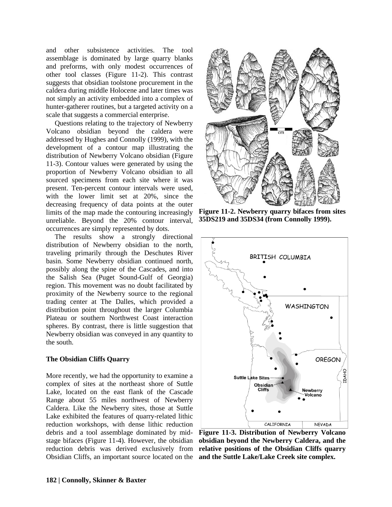and other subsistence activities. The tool assemblage is dominated by large quarry blanks and preforms, with only modest occurrences of other tool classes (Figure 11-2). This contrast suggests that obsidian toolstone procurement in the caldera during middle Holocene and later times was not simply an activity embedded into a complex of hunter-gatherer routines, but a targeted activity on a scale that suggests a commercial enterprise.

Questions relating to the trajectory of Newberry Volcano obsidian beyond the caldera were addressed by Hughes and Connolly (1999), with the development of a contour map illustrating the distribution of Newberry Volcano obsidian (Figure 11-3). Contour values were generated by using the proportion of Newberry Volcano obsidian to all sourced specimens from each site where it was present. Ten-percent contour intervals were used, with the lower limit set at 20%, since the decreasing frequency of data points at the outer limits of the map made the contouring increasingly unreliable. Beyond the 20% contour interval, occurrences are simply represented by dots.

The results show a strongly directional distribution of Newberry obsidian to the north, traveling primarily through the Deschutes River basin. Some Newberry obsidian continued north, possibly along the spine of the Cascades, and into the Salish Sea (Puget Sound-Gulf of Georgia) region. This movement was no doubt facilitated by proximity of the Newberry source to the regional trading center at The Dalles, which provided a distribution point throughout the larger Columbia Plateau or southern Northwest Coast interaction spheres. By contrast, there is little suggestion that Newberry obsidian was conveyed in any quantity to the south.

#### **The Obsidian Cliffs Quarry**

More recently, we had the opportunity to examine a complex of sites at the northeast shore of Suttle Lake, located on the east flank of the Cascade Range about 55 miles northwest of Newberry Caldera. Like the Newberry sites, those at Suttle Lake exhibited the features of quarry-related lithic reduction workshops, with dense lithic reduction debris and a tool assemblage dominated by midstage bifaces (Figure 11-4). However, the obsidian reduction debris was derived exclusively from Obsidian Cliffs, an important source located on the **and the Suttle Lake/Lake Creek site complex.**



**Figure 11-2. Newberry quarry bifaces from sites 35DS219 and 35DS34 (from Connolly 1999).**



**Figure 11-3. Distribution of Newberry Volcano obsidian beyond the Newberry Caldera, and the relative positions of the Obsidian Cliffs quarry**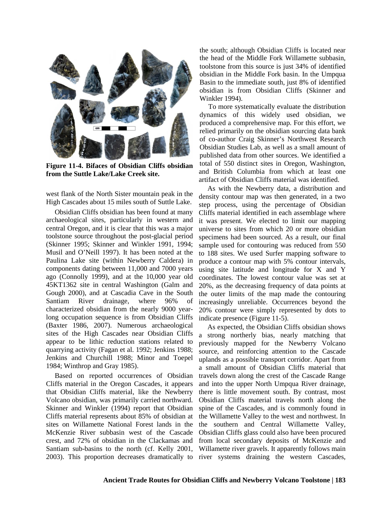

**Figure 11-4. Bifaces of Obsidian Cliffs obsidian from the Suttle Lake/Lake Creek site.**

west flank of the North Sister mountain peak in the High Cascades about 15 miles south of Suttle Lake.

Obsidian Cliffs obsidian has been found at many archaeological sites, particularly in western and central Oregon, and it is clear that this was a major toolstone source throughout the post-glacial period (Skinner 1995; Skinner and Winkler 1991, 1994; Musil and O'Neill 1997). It has been noted at the Paulina Lake site (within Newberry Caldera) in components dating between 11,000 and 7000 years ago (Connolly 1999), and at the 10,000 year old 45KT1362 site in central Washington (Galm and Gough 2000), and at Cascadia Cave in the South Santiam River drainage, where 96% of characterized obsidian from the nearly 9000 yearlong occupation sequence is from Obsidian Cliffs (Baxter 1986, 2007). Numerous archaeological sites of the High Cascades near Obsidian Cliffs appear to be lithic reduction stations related to quarrying activity (Fagan et al. 1992; Jenkins 1988; Jenkins and Churchill 1988; Minor and Toepel 1984; Winthrop and Gray 1985).

Based on reported occurrences of Obsidian Cliffs material in the Oregon Cascades, it appears that Obsidian Cliffs material, like the Newberry Volcano obsidian, was primarily carried northward. Skinner and Winkler (1994) report that Obsidian Cliffs material represents about 85% of obsidian at sites on Willamette National Forest lands in the McKenzie River subbasin west of the Cascade crest, and 72% of obsidian in the Clackamas and Santiam sub-basins to the north (cf. Kelly 2001, 2003). This proportion decreases dramatically to river systems draining the western Cascades,

the south; although Obsidian Cliffs is located near the head of the Middle Fork Willamette subbasin, toolstone from this source is just 34% of identified obsidian in the Middle Fork basin. In the Umpqua Basin to the immediate south, just 8% of identified obsidian is from Obsidian Cliffs (Skinner and Winkler 1994).

To more systematically evaluate the distribution dynamics of this widely used obsidian, we produced a comprehensive map. For this effort, we relied primarily on the obsidian sourcing data bank of co-author Craig Skinner's Northwest Research Obsidian Studies Lab, as well as a small amount of published data from other sources. We identified a total of 550 distinct sites in Oregon, Washington, and British Columbia from which at least one artifact of Obsidian Cliffs material was identified.

As with the Newberry data, a distribution and density contour map was then generated, in a two step process, using the percentage of Obsidian Cliffs material identified in each assemblage where it was present. We elected to limit our mapping universe to sites from which 20 or more obsidian specimens had been sourced. As a result, our final sample used for contouring was reduced from 550 to 188 sites. We used Surfer mapping software to produce a contour map with 5% contour intervals, using site latitude and longitude for X and Y coordinates. The lowest contour value was set at 20%, as the decreasing frequency of data points at the outer limits of the map made the contouring increasingly unreliable. Occurrences beyond the 20% contour were simply represented by dots to indicate presence (Figure 11-5).

As expected, the Obsidian Cliffs obsidian shows a strong northerly bias, nearly matching that previously mapped for the Newberry Volcano source, and reinforcing attention to the Cascade uplands as a possible transport corridor. Apart from a small amount of Obsidian Cliffs material that travels down along the crest of the Cascade Range and into the upper North Umpqua River drainage, there is little movement south. By contrast, most Obsidian Cliffs material travels north along the spine of the Cascades, and is commonly found in the Willamette Valley to the west and northwest. In the southern and Central Willamette Valley, Obsidian Cliffs glass could also have been procured from local secondary deposits of McKenzie and Willamette river gravels. It apparently follows main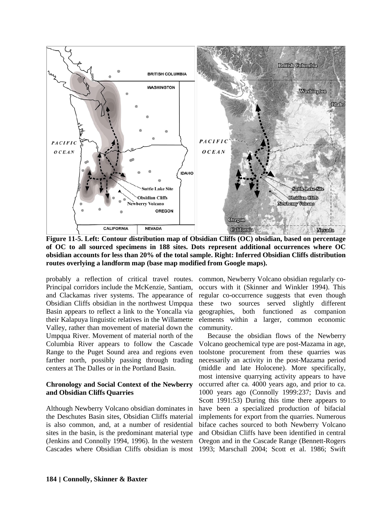

**Figure 11-5. Left: Contour distribution map of Obsidian Cliffs (OC) obsidian, based on percentage of OC to all sourced specimens in 188 sites. Dots represent additional occurrences where OC obsidian accounts for less than 20% of the total sample. Right: Inferred Obsidian Cliffs distribution routes overlying a landform map (base map modified from Google maps).**

probably a reflection of critical travel routes. common, Newberry Volcano obsidian regularly co-Principal corridors include the McKenzie, Santiam, and Clackamas river systems. The appearance of Obsidian Cliffs obsidian in the northwest Umpqua Basin appears to reflect a link to the Yoncalla via their Kalapuya linguistic relatives in the Willamette Valley, rather than movement of material down the Umpqua River. Movement of material north of the Columbia River appears to follow the Cascade Range to the Puget Sound area and regions even farther north, possibly passing through trading centers at The Dalles or in the Portland Basin.

#### **Chronology and Social Context of the Newberry and Obsidian Cliffs Quarries**

Although Newberry Volcano obsidian dominates in the Deschutes Basin sites, Obsidian Cliffs material is also common, and, at a number of residential sites in the basin, is the predominant material type (Jenkins and Connolly 1994, 1996). In the western Cascades where Obsidian Cliffs obsidian is most occurs with it (Skinner and Winkler 1994). This regular co-occurrence suggests that even though these two sources served slightly different geographies, both functioned as companion elements within a larger, common economic community.

Because the obsidian flows of the Newberry Volcano geochemical type are post-Mazama in age, toolstone procurement from these quarries was necessarily an activity in the post-Mazama period (middle and late Holocene). More specifically, most intensive quarrying activity appears to have occurred after ca. 4000 years ago, and prior to ca. 1000 years ago (Connolly 1999:237; Davis and Scott 1991:53) During this time there appears to have been a specialized production of bifacial implements for export from the quarries. Numerous biface caches sourced to both Newberry Volcano and Obsidian Cliffs have been identified in central Oregon and in the Cascade Range (Bennett-Rogers 1993; Marschall 2004; Scott et al. 1986; Swift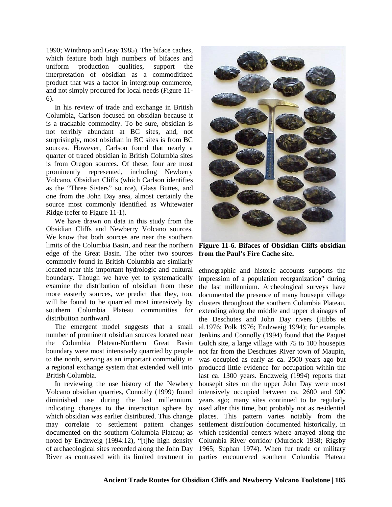1990; Winthrop and Gray 1985). The biface caches, which feature both high numbers of bifaces and uniform production qualities, support the interpretation of obsidian as a commoditized product that was a factor in intergroup commerce, and not simply procured for local needs (Figure 11- 6).

In his review of trade and exchange in British Columbia, Carlson focused on obsidian because it is a trackable commodity. To be sure, obsidian is not terribly abundant at BC sites, and, not surprisingly, most obsidian in BC sites is from BC sources. However, Carlson found that nearly a quarter of traced obsidian in British Columbia sites is from Oregon sources. Of these, four are most prominently represented, including Newberry Volcano, Obsidian Cliffs (which Carlson identifies as the "Three Sisters" source), Glass Buttes, and one from the John Day area, almost certainly the source most commonly identified as Whitewater Ridge (refer to Figure 11-1).

We have drawn on data in this study from the Obsidian Cliffs and Newberry Volcano sources. We know that both sources are near the southern limits of the Columbia Basin, and near the northern edge of the Great Basin. The other two sources commonly found in British Columbia are similarly located near this important hydrologic and cultural boundary. Though we have yet to systematically examine the distribution of obsidian from these more easterly sources, we predict that they, too, will be found to be quarried most intensively by southern Columbia Plateau communities for distribution northward.

The emergent model suggests that a small number of prominent obsidian sources located near the Columbia Plateau-Northern Great Basin boundary were most intensively quarried by people to the north, serving as an important commodity in a regional exchange system that extended well into British Columbia.

In reviewing the use history of the Newbery Volcano obsidian quarries, Connolly (1999) found diminished use during the last millennium, indicating changes to the interaction sphere by which obsidian was earlier distributed. This change may correlate to settlement pattern changes documented on the southern Columbia Plateau; as noted by Endzweig (1994:12), "[t]he high density of archaeological sites recorded along the John Day River as contrasted with its limited treatment in parties encountered southern Columbia Plateau



**Figure 11-6. Bifaces of Obsidian Cliffs obsidian from the Paul's Fire Cache site.**

ethnographic and historic accounts supports the impression of a population reorganization" during the last millennium. Archeological surveys have documented the presence of many housepit village clusters throughout the southern Columbia Plateau, extending along the middle and upper drainages of the Deschutes and John Day rivers (Hibbs et al.1976; Polk 1976; Endzweig 1994); for example, Jenkins and Connolly (1994) found that the Paquet Gulch site, a large village with 75 to 100 housepits not far from the Deschutes River town of Maupin, was occupied as early as ca. 2500 years ago but produced little evidence for occupation within the last ca. 1300 years. Endzweig (1994) reports that housepit sites on the upper John Day were most intensively occupied between ca. 2600 and 900 years ago; many sites continued to be regularly used after this time, but probably not as residential places. This pattern varies notably from the settlement distribution documented historically, in which residential centers where arrayed along the Columbia River corridor (Murdock 1938; Rigsby 1965; Suphan 1974). When fur trade or military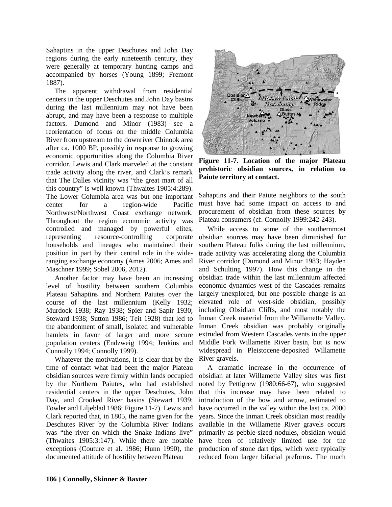Sahaptins in the upper Deschutes and John Day regions during the early nineteenth century, they were generally at temporary hunting camps and accompanied by horses (Young 1899; Fremont 1887).

The apparent withdrawal from residential centers in the upper Deschutes and John Day basins during the last millennium may not have been abrupt, and may have been a response to multiple factors. Dumond and Minor (1983) see a reorientation of focus on the middle Columbia River from upstream to the downriver Chinook area after ca. 1000 BP, possibly in response to growing economic opportunities along the Columbia River corridor. Lewis and Clark marveled at the constant trade activity along the river, and Clark's remark that The Dalles vicinity was "the great mart of all this country" is well known (Thwaites 1905:4:289). The Lower Columbia area was but one important center for a region-wide Pacific Northwest/Northwest Coast exchange network. Throughout the region economic activity was controlled and managed by powerful elites, representing resource-controlling corporate households and lineages who maintained their position in part by their central role in the wideranging exchange economy (Ames 2006; Ames and Maschner 1999; Sobel 2006, 2012).

Another factor may have been an increasing level of hostility between southern Columbia Plateau Sahaptins and Northern Paiutes over the course of the last millennium (Kelly 1932; Murdock 1938; Ray 1938; Spier and Sapir 1930; Steward 1938; Sutton 1986; Teit 1928) that led to the abandonment of small, isolated and vulnerable hamlets in favor of larger and more secure population centers (Endzweig 1994; Jenkins and Connolly 1994; Connolly 1999).

Whatever the motivations, it is clear that by the time of contact what had been the major Plateau obsidian sources were firmly within lands occupied by the Northern Paiutes, who had established residential centers in the upper Deschutes, John Day, and Crooked River basins (Stewart 1939; Fowler and Liljeblad 1986; Figure 11-7). Lewis and Clark reported that, in 1805, the name given for the Deschutes River by the Columbia River Indians was "the river on which the Snake Indians live" (Thwaites 1905:3:147). While there are notable exceptions (Couture et al. 1986; Hunn 1990), the documented attitude of hostility between Plateau



**Figure 11-7. Location of the major Plateau prehistoric obsidian sources, in relation to Paiute territory at contact.**

Sahaptins and their Paiute neighbors to the south must have had some impact on access to and procurement of obsidian from these sources by Plateau consumers (cf. Connolly 1999:242-243).

While access to some of the southernmost obsidian sources may have been diminished for southern Plateau folks during the last millennium, trade activity was accelerating along the Columbia River corridor (Dumond and Minor 1983; Hayden and Schulting 1997). How this change in the obsidian trade within the last millennium affected economic dynamics west of the Cascades remains largely unexplored, but one possible change is an elevated role of west-side obsidian, possibly including Obsidian Cliffs, and most notably the Inman Creek material from the Willamette Valley. Inman Creek obsidian was probably originally extruded from Western Cascades vents in the upper Middle Fork Willamette River basin, but is now widespread in Pleistocene-deposited Willamette River gravels.

A dramatic increase in the occurrence of obsidian at later Willamette Valley sites was first noted by Pettigrew (1980:66-67), who suggested that this increase may have been related to introduction of the bow and arrow, estimated to have occurred in the valley within the last ca. 2000 years. Since the Inman Creek obsidian most readily available in the Willamette River gravels occurs primarily as pebble-sized nodules, obsidian would have been of relatively limited use for the production of stone dart tips, which were typically reduced from larger bifacial preforms. The much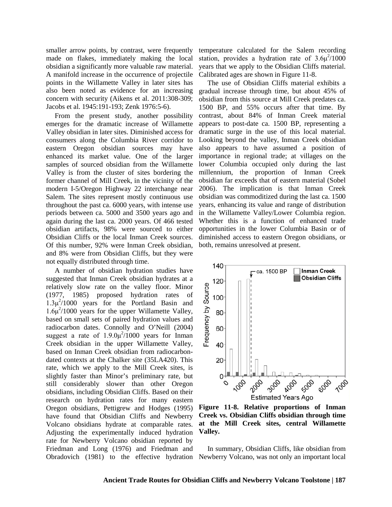smaller arrow points, by contrast, were frequently made on flakes, immediately making the local obsidian a significantly more valuable raw material. A manifold increase in the occurrence of projectile points in the Willamette Valley in later sites has also been noted as evidence for an increasing concern with security (Aikens et al. 2011:308-309; Jacobs et al. 1945:191-193; Zenk 1976:5-6).

From the present study, another possibility emerges for the dramatic increase of Willamette Valley obsidian in later sites. Diminished access for consumers along the Columbia River corridor to eastern Oregon obsidian sources may have enhanced its market value. One of the larger samples of sourced obsidian from the Willamette Valley is from the cluster of sites bordering the former channel of Mill Creek, in the vicinity of the modern I-5/Oregon Highway 22 interchange near Salem. The sites represent mostly continuous use throughout the past ca. 6000 years, with intense use periods between ca. 5000 and 3500 years ago and again during the last ca. 2000 years. Of 466 tested obsidian artifacts, 98% were sourced to either Obsidian Cliffs or the local Inman Creek sources. Of this number, 92% were Inman Creek obsidian, and 8% were from Obsidian Cliffs, but they were not equally distributed through time.

A number of obsidian hydration studies have suggested that Inman Creek obsidian hydrates at a relatively slow rate on the valley floor. Minor (1977, 1985) proposed hydration rates of  $1.3\mu^2/1000$  years for the Portland Basin and  $1.6\mu^2$ /1000 years for the upper Willamette Valley, based on small sets of paired hydration values and radiocarbon dates. Connolly and O'Neill (2004) suggest a rate of  $1.9.0\mu^2/1000$  years for Inman Creek obsidian in the upper Willamette Valley, based on Inman Creek obsidian from radiocarbondated contexts at the Chalker site (35LA420). This rate, which we apply to the Mill Creek sites, is slightly faster than Minor's preliminary rate, but still considerably slower than other Oregon obsidians, including Obsidian Cliffs. Based on their research on hydration rates for many eastern Oregon obsidians, Pettigrew and Hodges (1995) have found that Obsidian Cliffs and Newberry Volcano obsidians hydrate at comparable rates. Adjusting the experimentally induced hydration rate for Newberry Volcano obsidian reported by Friedman and Long (1976) and Friedman and Obradovich (1981) to the effective hydration Newberry Volcano, was not only an important local

temperature calculated for the Salem recording station, provides a hydration rate of  $3.6\mu^2/1000$ years that we apply to the Obsidian Cliffs material. Calibrated ages are shown in Figure 11-8.

The use of Obsidian Cliffs material exhibits a gradual increase through time, but about 45% of obsidian from this source at Mill Creek predates ca. 1500 BP, and 55% occurs after that time. By contrast, about 84% of Inman Creek material appears to post-date ca. 1500 BP, representing a dramatic surge in the use of this local material. Looking beyond the valley, Inman Creek obsidian also appears to have assumed a position of importance in regional trade; at villages on the lower Columbia occupied only during the last millennium, the proportion of Inman Creek obsidian far exceeds that of eastern material (Sobel 2006). The implication is that Inman Creek obsidian was commoditized during the last ca. 1500 years, enhancing its value and range of distribution in the Willamette Valley/Lower Columbia region. Whether this is a function of enhanced trade opportunities in the lower Columbia Basin or of diminished access to eastern Oregon obsidians, or both, remains unresolved at present.



**Figure 11-8. Relative proportions of Inman Creek vs. Obsidian Cliffs obsidian through time at the Mill Creek sites, central Willamette Valley.**

In summary, Obsidian Cliffs, like obsidian from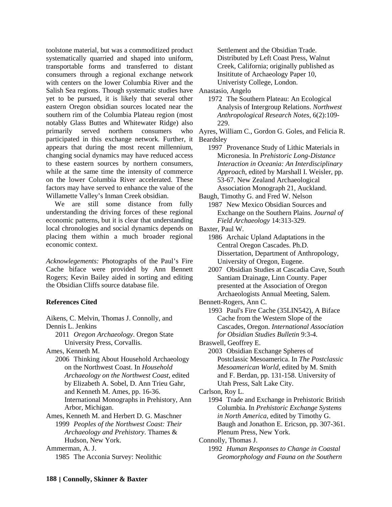toolstone material, but was a commoditized product systematically quarried and shaped into uniform, transportable forms and transferred to distant consumers through a regional exchange network with centers on the lower Columbia River and the Salish Sea regions. Though systematic studies have yet to be pursued, it is likely that several other eastern Oregon obsidian sources located near the southern rim of the Columbia Plateau region (most notably Glass Buttes and Whitewater Ridge) also primarily served northern consumers who Ayres, William C., Gordon G. Goles, and Felicia R. participated in this exchange network. Further, it appears that during the most recent millennium, changing social dynamics may have reduced access to these eastern sources by northern consumers, while at the same time the intensity of commerce on the lower Columbia River accelerated. These factors may have served to enhance the value of the Willamette Valley's Inman Creek obsidian.

We are still some distance from fully understanding the driving forces of these regional economic patterns, but it is clear that understanding local chronologies and social dynamics depends on Baxter, Paul W. placing them within a much broader regional economic context.

*Acknowlegements:* Photographs of the Paul's Fire Cache biface were provided by Ann Bennett Rogers; Kevin Bailey aided in sorting and editing the Obsidian Cliffs source database file.

#### **References Cited**

Aikens, C. Melvin, Thomas J. Connolly, and Dennis L. Jenkins

2011 *Oregon Archaeology*. Oregon State University Press, Corvallis.

Ames, Kenneth M.

- 2006 Thinking About Household Archaeology on the Northwest Coast. In *Household Archaeology on the Northwest Coast*, edited by Elizabeth A. Sobel, D. Ann Trieu Gahr, and Kenneth M. Ames, pp. 16-36. International Monographs in Prehistory, Ann Arbor, Michigan.
- Ames, Kenneth M. and Herbert D. G. Maschner 1999 *Peoples of the Northwest Coast: Their Archaeology and Prehistory*. Thames & Hudson, New York.

Ammerman, A. J.

1985 The Acconia Survey: Neolithic

Settlement and the Obsidian Trade. Distributed by Left Coast Press, Walnut Creek, California; originally published as Insititute of Archaeology Paper 10, Univeristy College, London.

Anastasio, Angelo

1972 The Southern Plateau: An Ecological Analysis of Intergroup Relations. *Northwest Anthropological Research Notes*, 6(2):109- 229.

Beardsley

1997 Provenance Study of Lithic Materials in Micronesia. In *Prehistoric Long-Distance Interaction in Oceania: An Interdisciplinary Approach*, edited by Marshall I. Weisler, pp. 53-67. New Zealand Archaeological Association Monograph 21, Auckland.

Baugh, Timothy G. and Fred W. Nelson 1987 New Mexico Obsidian Sources and Exchange on the Southern Plains. *Journal of Field Archaeology* 14:313-329.

- 1986 Archaic Upland Adaptations in the Central Oregon Cascades. Ph.D. Dissertation, Department of Anthropology, University of Oregon, Eugene.
- 2007 Obsidian Studies at Cascadia Cave, South Santiam Drainage, Linn County. Paper presented at the Association of Oregon Archaeologists Annual Meeting, Salem.
- Bennett-Rogers, Ann C.
	- 1993 Paul's Fire Cache (35LIN542), A Biface Cache from the Western Slope of the Cascades, Oregon. *International Association for Obsidian Studies Bulletin* 9:3-4.
- Braswell, Geoffrey E.
	- 2003 Obsidian Exchange Spheres of Postclassic Mesoamerica. In *The Postclassic Mesoamerican World*, edited by M. Smith and F. Berdan, pp. 131-158. University of Utah Press, Salt Lake City.
- Carlson, Roy L.

1994 Trade and Exchange in Prehistoric British Columbia. In *Prehistoric Exchange Systems in North America*, edited by Timothy G. Baugh and Jonathon E. Ericson, pp. 307-361. Plenum Press, New York.

Connolly, Thomas J.

1992 *Human Responses to Change in Coastal Geomorphology and Fauna on the Southern*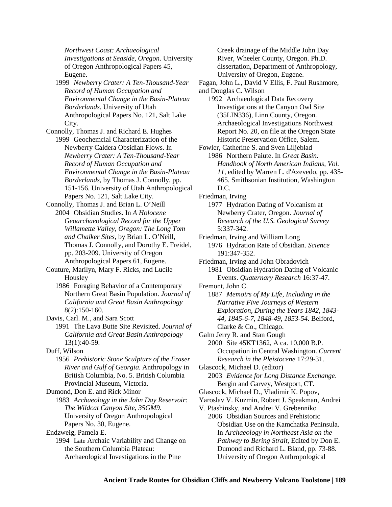*Northwest Coast: Archaeological Investigations at Seaside, Oregon*. University of Oregon Anthropological Papers 45, Eugene.

- 1999 *Newberry Crater: A Ten-Thousand-Year Record of Human Occupation and Environmental Change in the Basin-Plateau Borderlands*. University of Utah Anthropological Papers No. 121, Salt Lake City.
- Connolly, Thomas J. and Richard E. Hughes 1999 Geochemcial Characterization of the Newberry Caldera Obsidian Flows. In *Newberry Crater: A Ten-Thousand-Year Record of Human Occupation and Environmental Change in the Basin-Plateau Borderlands*, by Thomas J. Connolly, pp. 151-156. University of Utah Anthropological Papers No. 121, Salt Lake City.
- Connolly, Thomas J. and Brian L. O'Neill 2004 Obsidian Studies. In *A Holocene Geoarchaeological Record for the Upper Willamette Valley, Oregon: The Long Tom and Chalker Sites*, by Brian L. O'Neill, Thomas J. Connolly, and Dorothy E. Freidel, pp. 203-209. University of Oregon

Anthropological Papers 61, Eugene.

- Couture, Marilyn, Mary F. Ricks, and Lucile Housley
	- 1986 Foraging Behavior of a Contemporary Northern Great Basin Population. *Journal of California and Great Basin Anthropology* 8(2):150-160.

Davis, Carl. M., and Sara Scott

1991 The Lava Butte Site Revisited. *Journal of California and Great Basin Anthropology* 13(1):40-59.

Duff, Wilson

1956 *Prehistoric Stone Sculpture of the Fraser River and Gulf of Georgia*. Anthropology in British Columbia, No. 5. British Columbia Provincial Museum, Victoria.

Dumond, Don E. and Rick Minor

1983 *Archaeology in the John Day Reservoir: The Wildcat Canyon Site, 35GM9*. University of Oregon Anthropological Papers No. 30, Eugene.

Endzweig, Pamela E.

1994 Late Archaic Variability and Change on the Southern Columbia Plateau: Archaeological Investigations in the Pine

Creek drainage of the Middle John Day River, Wheeler County, Oregon. Ph.D. dissertation, Department of Anthropology, University of Oregon, Eugene.

- Fagan, John L., David V Ellis, F. Paul Rushmore, and Douglas C. Wilson
	- 1992 Archaeological Data Recovery Investigations at the Canyon Owl Site (35LIN336), Linn County, Oregon. Archaeological Investigations Northwest Report No. 20, on file at the Oregon State Historic Preservation Office, Salem.
- Fowler, Catherine S. and Sven Liljeblad 1986 Northern Paiute. In *Great Basin: Handbook of North American Indians, Vol. 11*, edited by Warren L. d'Azevedo, pp. 435- 465. Smithsonian Institution, Washington D.C.
- Friedman, Irving

1977 Hydration Dating of Volcanism at Newberry Crater, Oregon. *Journal of Research of the U.S. Geological Survey* 5:337-342.

- Friedman, Irving and William Long 1976 Hydration Rate of Obsidian. *Science* 191:347-352.
- Friedman, Irving and John Obradovich 1981 Obsidian Hydration Dating of Volcanic Events. *Quaternary Research* 16:37-47.
- Fremont, John C.

1887 *Memoirs of My Life, Including in the Narrative Five Journeys of Western Exploration, During the Years 1842, 1843- 44, 1845-6-7, 1848-49, 1853-54*. Belford, Clarke & Co., Chicago.

Galm Jerry R. and Stan Gough 2000 Site 45KT1362, A ca. 10,000 B.P. Occupation in Central Washington. *Current Research in the Pleistocene* 17:29-31.

Glascock, Michael D. (editor) 2003 *Evidence for Long Distance Exchange*. Bergin and Garvey, Westport, CT.

- Glascock, Michael D., Vladimir K. Popov,
- Yaroslav V. Kuzmin, Robert J. Speakman, Andrei
- V. Ptashinsky, and Andrei V. Grebenniko 2006 Obsidian Sources and Prehistoric Obsidian Use on the Kamchatka Peninsula. In A*rchaeology in Northeast Asia on the Pathway to Bering Strait*, Edited by Don E. Dumond and Richard L. Bland, pp. 73-88. University of Oregon Anthropological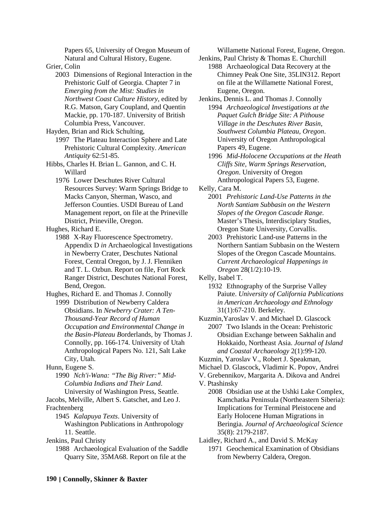Papers 65, University of Oregon Museum of Natural and Cultural History, Eugene.

Grier, Colin

2003 Dimensions of Regional Interaction in the Prehistoric Gulf of Georgia. Chapter 7 in *Emerging from the Mist: Studies in Northwest Coast Culture History*, edited by R.G. Matson, Gary Coupland, and Quentin Mackie, pp. 170-187. University of British Columbia Press, Vancouver.

Hayden, Brian and Rick Schulting,

- 1997 The Plateau Interaction Sphere and Late Prehistoric Cultural Complexity. *American Antiquity* 62:51-85.
- Hibbs, Charles H. Brian L. Gannon, and C. H. Willard
	- 1976 Lower Deschutes River Cultural Resources Survey: Warm Springs Bridge to Macks Canyon, Sherman, Wasco, and Jefferson Counties. USDI Bureau of Land Management report, on file at the Prineville District, Prineville, Oregon.

Hughes, Richard E.

- 1988 X-Ray Fluorescence Spectrometry. Appendix D *in* Archaeological Investigations in Newberry Crater, Deschutes National Forest, Central Oregon, by J. J. Flenniken and T. L. Ozbun. Report on file, Fort Rock Ranger District, Deschutes National Forest, Bend, Oregon.
- Hughes, Richard E. and Thomas J. Connolly 1999 Distribution of Newberry Caldera Obsidians. In *Newberry Crater: A Ten-Thousand-Year Record of Human Occupation and Environmental Change in the Basin-Plateau B*orderlands, by Thomas J.

Connolly, pp. 166-174. University of Utah Anthropological Papers No. 121, Salt Lake City, Utah.

1990 *Nch'i-Wana: "The Big River:" Mid-Columbia Indians and Their Land*. University of Washington Press, Seattle.

Jacobs, Melville, Albert S. Gatschet, and Leo J. Frachtenberg

1945 *Kalapuya Texts*. University of Washington Publications in Anthropology 11. Seattle.

Jenkins, Paul Christy

1988 Archaeological Evaluation of the Saddle Quarry Site, 35MA68. Report on file at the

Willamette National Forest, Eugene, Oregon.

- Jenkins, Paul Christy & Thomas E. Churchill 1988 Archaeological Data Recovery at the Chimney Peak One Site, 35LIN312. Report on file at the Willamette National Forest, Eugene, Oregon.
- Jenkins, Dennis L. and Thomas J. Connolly 1994 *Archaeological Investigations at the Paquet Gulch Bridge Site: A Pithouse Village in the Deschutes River Basin, Southwest Columbia Plateau, Oregon*. University of Oregon Anthropological Papers 49, Eugene.
	- 1996 *Mid-Holocene Occupations at the Heath Cliffs Site, Warm Springs Reservation, Oregon*. University of Oregon Anthropological Papers 53, Eugene.

Kelly, Cara M.

- 2001 *Prehistoric Land-Use Patterns in the North Santiam Subbasin on the Western Slopes of the Oregon Cascade Range.*  Master's Thesis, Interdisciplary Studies, Oregon State University, Corvallis.
- 2003 Prehistoric Land-use Patterns in the Northern Santiam Subbasin on the Western Slopes of the Oregon Cascade Mountains. *Current Archaeological Happenings in Oregon* 28(1/2):10-19.

Kelly, Isabel T.

- 1932 Ethnography of the Surprise Valley Paiute. *University of California Publications in American Archaeology and Ethnology*  31(1):67-210. Berkeley.
- Kuzmin,Yaroslav V. and Michael D. Glascock 2007 Two Islands in the Ocean: Prehistoric Obsidian Exchange between Sakhalin and Hokkaido, Northeast Asia. *Journal of Island and Coastal Archaeology* 2(1):99-120.
- Kuzmin, Yaroslav V., Robert J. Speakman,
- Michael D. Glascock, Vladimir K. Popov, Andrei
- V. Grebennikov, Margarita A. Dikova and Andrei
- V. Ptashinsky
	- 2008 Obsidian use at the Ushki Lake Complex, Kamchatka Peninsula (Northeastern Siberia): Implications for Terminal Pleistocene and Early Holocene Human Migrations in Beringia. *Journal of Archaeological Science* 35(8): 2179-2187.

Laidley, Richard A., and David S. McKay

1971 Geochemical Examination of Obsidians from Newberry Caldera, Oregon.

Hunn, Eugene S.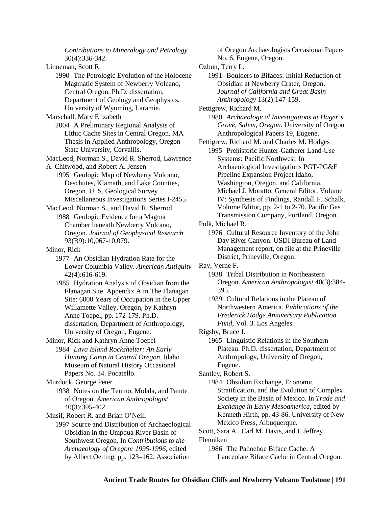*Contributions to Mineralogy and Petrology* 30(4):336-342. Linneman, Scott R. 1990 The Petrologic Evolution of the Holocene Magmatic System of Newberry Volcano, Central Oregon. Ph.D. dissertation, Department of Geology and Geophysics, University of Wyoming, Laramie. Marschall, Mary Elizabeth 2004 A Preliminary Regional Analysis of Lithic Cache Sites in Central Oregon. MA Thesis in Applied Anthropology, Oregon State University, Corvallis. MacLeod, Norman S., David R. Sherrod, Lawrence A. Chitwood, and Robert A. Jensen 1995 Geologic Map of Newberry Volcano, Deschutes, Klamath, and Lake Counties, Oregon. U. S. Geological Survey Miscellaneous Investigations Series I-2455 MacLeod, Norman S., and David R. Sherrod 1988 Geologic Evidence for a Magma Chamber beneath Newberry Volcano, Oregon. *Journal of Geophysical Research* 93(B9):10,067-10,079. Minor, Rick 1977 An Obsidian Hydration Rate for the Lower Columbia Valley. *American Antiquity* 42(4):616-619. 1985 Hydration Analysis of Obsidian from the Flanagan Site. Appendix A in The Flanagan Site: 6000 Years of Occupation in the Upper Willamette Valley, Oregon, by Kathryn Anne Toepel, pp. 172-179. Ph.D. dissertation, Department of Anthropology, University of Oregon, Eugene. Minor, Rick and Kathryn Anne Toepel 1984 *Lava Island Rockshelter: An Early Hunting Camp in Central Oregon*. Idaho Museum of Natural History Occasional Papers No. 34. Pocatello. Murdock, George Peter 1938 Notes on the Tenino, Molala, and Paiute of Oregon. *American Anthropologist*  40(3):395-402. Musil, Robert R. and Brian O'Neill 1997 Source and Distribution of Archaeological Obsidian in the Umpqua River Basin of Southwest Oregon. In *Contributions to the Archaeology of Oregon: 1995-1996*, edited by Albert Oetting, pp. 123–162. Association

of Oregon Archaeologists Occasional Papers No. 6, Eugene, Oregon.

Ozbun, Terry L.

1991 Boulders to Bifaces: Initial Reduction of Obsidian at Newberry Crater, Oregon. *Journal of California and Great Basin Anthropology* 13(2):147-159.

Pettigrew, Richard M.

1980 *Archaeological Investigations at Hager's Grove, Salem, Oregon*. University of Oregon Anthropological Papers 19, Eugene.

Pettigrew, Richard M. and Charles M. Hodges

1995 Prehistoric Hunter-Gatherer Land-Use Systems: Pacific Northwest. In Archaeological Investigations PGT-PG&E Pipeline Expansion Project Idaho, Washington, Oregon, and California, Michael J. Moratto, General Editor. Volume IV: Synthesis of Findings, Randall F. Schalk, Volume Editor, pp. 2-1 to 2-70. Pacific Gas Transmission Company, Portland, Oregon.

Polk, Michael R.

1976 Cultural Resource Inventory of the John Day River Canyon. USDI Bureau of Land Management report, on file at the Prineville District, Prineville, Oregon.

Ray, Verne F.

1938 Tribal Distribution in Northeastern Oregon. *American Anthropologist* 40(3):384- 395.

1939 Cultural Relations in the Plateau of Northwestern America. *Publications of the Frederick Hodge Anniversary Publication Fund*, Vol. 3. Los Angeles.

Rigsby, Bruce J.

1965 Linguistic Relations in the Southern Plateau. Ph.D. dissertation, Department of Anthropology, University of Oregon, Eugene.

Santley, Robert S.

1984 Obsidian Exchange, Economic Stratification, and the Evolution of Complex Society in the Basin of Mexico. In *Trade and Exchange in Early Mesoamerica*, edited by Kenneth Hirth, pp. 43-86. University of New Mexico Press, Albuquerque.

Scott, Sara A., Carl M. Davis, and J. Jeffrey Flenniken

1986 The Pahoehoe Biface Cache: A Lanceolate Biface Cache in Central Oregon.